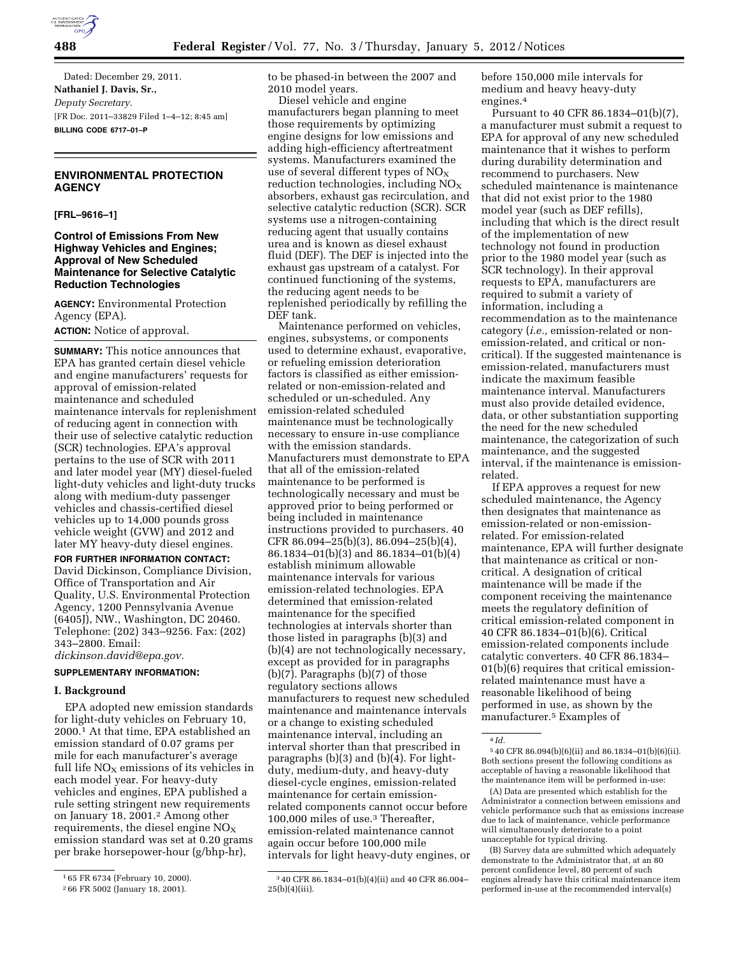

Dated: December 29, 2011. **Nathaniel J. Davis, Sr.,**  *Deputy Secretary.*  [FR Doc. 2011–33829 Filed 1–4–12; 8:45 am] **BILLING CODE 6717–01–P** 

### **ENVIRONMENTAL PROTECTION AGENCY**

**[FRL–9616–1]** 

### **Control of Emissions From New Highway Vehicles and Engines; Approval of New Scheduled Maintenance for Selective Catalytic Reduction Technologies**

**AGENCY:** Environmental Protection Agency (EPA). **ACTION:** Notice of approval.

**SUMMARY:** This notice announces that EPA has granted certain diesel vehicle and engine manufacturers' requests for approval of emission-related maintenance and scheduled maintenance intervals for replenishment of reducing agent in connection with their use of selective catalytic reduction (SCR) technologies. EPA's approval pertains to the use of SCR with 2011 and later model year (MY) diesel-fueled light-duty vehicles and light-duty trucks along with medium-duty passenger vehicles and chassis-certified diesel vehicles up to 14,000 pounds gross vehicle weight (GVW) and 2012 and later MY heavy-duty diesel engines.

**FOR FURTHER INFORMATION CONTACT:**  David Dickinson, Compliance Division, Office of Transportation and Air Quality, U.S. Environmental Protection Agency, 1200 Pennsylvania Avenue (6405J), NW., Washington, DC 20460. Telephone: (202) 343–9256. Fax: (202) 343–2800. Email:

*[dickinson.david@epa.gov.](mailto:dickinson.david@epa.gov)* 

# **SUPPLEMENTARY INFORMATION:**

### **I. Background**

EPA adopted new emission standards for light-duty vehicles on February 10, 2000.1 At that time, EPA established an emission standard of 0.07 grams per mile for each manufacturer's average full life  $NO<sub>x</sub>$  emissions of its vehicles in each model year. For heavy-duty vehicles and engines, EPA published a rule setting stringent new requirements on January 18, 2001.2 Among other requirements, the diesel engine  $NO<sub>x</sub>$ emission standard was set at 0.20 grams per brake horsepower-hour (g/bhp-hr),

to be phased-in between the 2007 and 2010 model years.

Diesel vehicle and engine manufacturers began planning to meet those requirements by optimizing engine designs for low emissions and adding high-efficiency aftertreatment systems. Manufacturers examined the use of several different types of  $NO<sub>x</sub>$ reduction technologies, including  $NO<sub>x</sub>$ absorbers, exhaust gas recirculation, and selective catalytic reduction (SCR). SCR systems use a nitrogen-containing reducing agent that usually contains urea and is known as diesel exhaust fluid (DEF). The DEF is injected into the exhaust gas upstream of a catalyst. For continued functioning of the systems, the reducing agent needs to be replenished periodically by refilling the DEF tank.

Maintenance performed on vehicles, engines, subsystems, or components used to determine exhaust, evaporative, or refueling emission deterioration factors is classified as either emissionrelated or non-emission-related and scheduled or un-scheduled. Any emission-related scheduled maintenance must be technologically necessary to ensure in-use compliance with the emission standards. Manufacturers must demonstrate to EPA that all of the emission-related maintenance to be performed is technologically necessary and must be approved prior to being performed or being included in maintenance instructions provided to purchasers. 40 CFR 86.094–25(b)(3), 86.094–25(b)(4), 86.1834–01(b)(3) and 86.1834–01(b)(4) establish minimum allowable maintenance intervals for various emission-related technologies. EPA determined that emission-related maintenance for the specified technologies at intervals shorter than those listed in paragraphs (b)(3) and (b)(4) are not technologically necessary, except as provided for in paragraphs (b)(7). Paragraphs (b)(7) of those regulatory sections allows manufacturers to request new scheduled maintenance and maintenance intervals or a change to existing scheduled maintenance interval, including an interval shorter than that prescribed in paragraphs (b)(3) and (b)(4). For lightduty, medium-duty, and heavy-duty diesel-cycle engines, emission-related maintenance for certain emissionrelated components cannot occur before 100,000 miles of use.3 Thereafter, emission-related maintenance cannot again occur before 100,000 mile intervals for light heavy-duty engines, or before 150,000 mile intervals for medium and heavy heavy-duty engines.4

Pursuant to 40 CFR 86.1834–01(b)(7), a manufacturer must submit a request to EPA for approval of any new scheduled maintenance that it wishes to perform during durability determination and recommend to purchasers. New scheduled maintenance is maintenance that did not exist prior to the 1980 model year (such as DEF refills), including that which is the direct result of the implementation of new technology not found in production prior to the 1980 model year (such as SCR technology). In their approval requests to EPA, manufacturers are required to submit a variety of information, including a recommendation as to the maintenance category (*i.e.,* emission-related or nonemission-related, and critical or noncritical). If the suggested maintenance is emission-related, manufacturers must indicate the maximum feasible maintenance interval. Manufacturers must also provide detailed evidence, data, or other substantiation supporting the need for the new scheduled maintenance, the categorization of such maintenance, and the suggested interval, if the maintenance is emissionrelated.

If EPA approves a request for new scheduled maintenance, the Agency then designates that maintenance as emission-related or non-emissionrelated. For emission-related maintenance, EPA will further designate that maintenance as critical or noncritical. A designation of critical maintenance will be made if the component receiving the maintenance meets the regulatory definition of critical emission-related component in 40 CFR 86.1834–01(b)(6). Critical emission-related components include catalytic converters. 40 CFR 86.1834– 01(b)(6) requires that critical emissionrelated maintenance must have a reasonable likelihood of being performed in use, as shown by the manufacturer.5 Examples of

<sup>1</sup> 65 FR 6734 (February 10, 2000).

<sup>2</sup> 66 FR 5002 (January 18, 2001).

<sup>3</sup> 40 CFR 86.1834–01(b)(4)(ii) and 40 CFR 86.004– 25(b)(4)(iii).

<sup>4</sup> *Id.* 

<sup>5</sup> 40 CFR 86.094(b)(6)(ii) and 86.1834–01(b)(6)(ii). Both sections present the following conditions as acceptable of having a reasonable likelihood that the maintenance item will be performed in-use:

<sup>(</sup>A) Data are presented which establish for the Administrator a connection between emissions and vehicle performance such that as emissions increase due to lack of maintenance, vehicle performance will simultaneously deteriorate to a point unacceptable for typical driving.

<sup>(</sup>B) Survey data are submitted which adequately demonstrate to the Administrator that, at an 80 percent confidence level, 80 percent of such engines already have this critical maintenance item performed in-use at the recommended interval(s)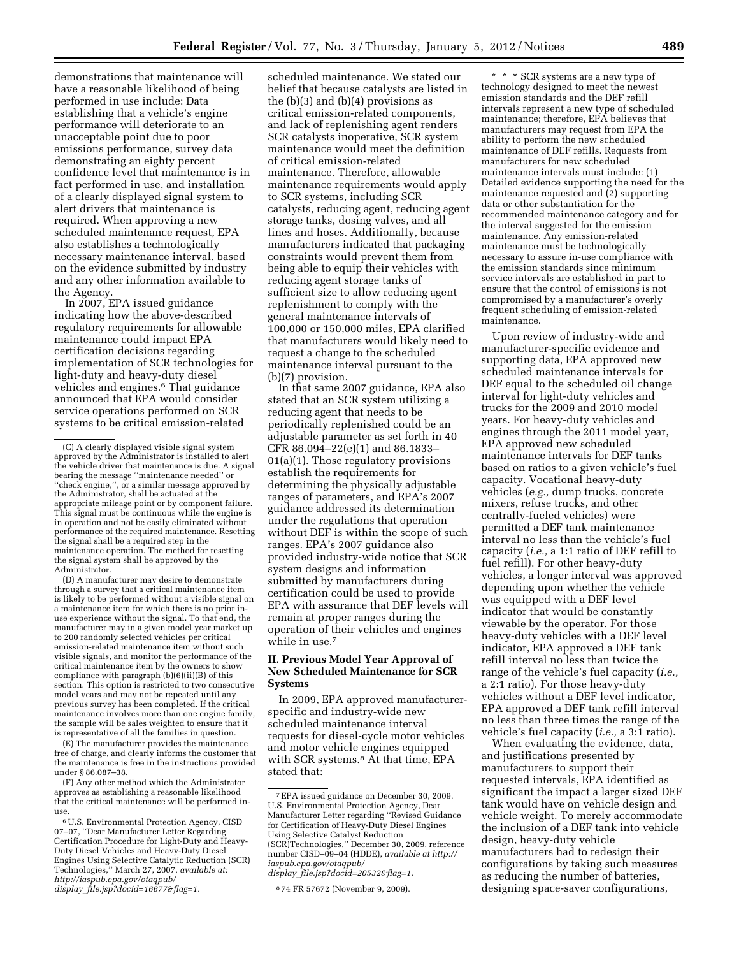demonstrations that maintenance will have a reasonable likelihood of being performed in use include: Data establishing that a vehicle's engine performance will deteriorate to an unacceptable point due to poor emissions performance, survey data demonstrating an eighty percent confidence level that maintenance is in fact performed in use, and installation of a clearly displayed signal system to alert drivers that maintenance is required. When approving a new scheduled maintenance request, EPA also establishes a technologically necessary maintenance interval, based on the evidence submitted by industry and any other information available to the Agency.

In 2007, EPA issued guidance indicating how the above-described regulatory requirements for allowable maintenance could impact EPA certification decisions regarding implementation of SCR technologies for light-duty and heavy-duty diesel vehicles and engines.6 That guidance announced that EPA would consider service operations performed on SCR systems to be critical emission-related

(D) A manufacturer may desire to demonstrate through a survey that a critical maintenance item is likely to be performed without a visible signal on a maintenance item for which there is no prior inuse experience without the signal. To that end, the manufacturer may in a given model year market up to 200 randomly selected vehicles per critical emission-related maintenance item without such visible signals, and monitor the performance of the critical maintenance item by the owners to show compliance with paragraph (b)(6)(ii)(B) of this section. This option is restricted to two consecutive model years and may not be repeated until any previous survey has been completed. If the critical maintenance involves more than one engine family, the sample will be sales weighted to ensure that it is representative of all the families in question.

(E) The manufacturer provides the maintenance free of charge, and clearly informs the customer that the maintenance is free in the instructions provided under § 86.087–38.

(F) Any other method which the Administrator approves as establishing a reasonable likelihood that the critical maintenance will be performed inuse.

scheduled maintenance. We stated our belief that because catalysts are listed in the  $(b)(3)$  and  $(b)(4)$  provisions as critical emission-related components, and lack of replenishing agent renders SCR catalysts inoperative, SCR system maintenance would meet the definition of critical emission-related maintenance. Therefore, allowable maintenance requirements would apply to SCR systems, including SCR catalysts, reducing agent, reducing agent storage tanks, dosing valves, and all lines and hoses. Additionally, because manufacturers indicated that packaging constraints would prevent them from being able to equip their vehicles with reducing agent storage tanks of sufficient size to allow reducing agent replenishment to comply with the general maintenance intervals of 100,000 or 150,000 miles, EPA clarified that manufacturers would likely need to request a change to the scheduled maintenance interval pursuant to the (b)(7) provision.

In that same 2007 guidance, EPA also stated that an SCR system utilizing a reducing agent that needs to be periodically replenished could be an adjustable parameter as set forth in 40 CFR 86.094–22(e)(1) and 86.1833– 01(a)(1). Those regulatory provisions establish the requirements for determining the physically adjustable ranges of parameters, and EPA's 2007 guidance addressed its determination under the regulations that operation without DEF is within the scope of such ranges. EPA's 2007 guidance also provided industry-wide notice that SCR system designs and information submitted by manufacturers during certification could be used to provide EPA with assurance that DEF levels will remain at proper ranges during the operation of their vehicles and engines while in use.<sup>7</sup>

# **II. Previous Model Year Approval of New Scheduled Maintenance for SCR Systems**

In 2009, EPA approved manufacturerspecific and industry-wide new scheduled maintenance interval requests for diesel-cycle motor vehicles and motor vehicle engines equipped with SCR systems.<sup>8</sup> At that time, EPA stated that:

\* \* \* SCR systems are a new type of technology designed to meet the newest emission standards and the DEF refill intervals represent a new type of scheduled maintenance; therefore, EPA believes that manufacturers may request from EPA the ability to perform the new scheduled maintenance of DEF refills. Requests from manufacturers for new scheduled maintenance intervals must include: (1) Detailed evidence supporting the need for the maintenance requested and (2) supporting data or other substantiation for the recommended maintenance category and for the interval suggested for the emission maintenance. Any emission-related maintenance must be technologically necessary to assure in-use compliance with the emission standards since minimum service intervals are established in part to ensure that the control of emissions is not compromised by a manufacturer's overly frequent scheduling of emission-related maintenance.

Upon review of industry-wide and manufacturer-specific evidence and supporting data, EPA approved new scheduled maintenance intervals for DEF equal to the scheduled oil change interval for light-duty vehicles and trucks for the 2009 and 2010 model years. For heavy-duty vehicles and engines through the 2011 model year, EPA approved new scheduled maintenance intervals for DEF tanks based on ratios to a given vehicle's fuel capacity. Vocational heavy-duty vehicles (*e.g.,* dump trucks, concrete mixers, refuse trucks, and other centrally-fueled vehicles) were permitted a DEF tank maintenance interval no less than the vehicle's fuel capacity (*i.e.,* a 1:1 ratio of DEF refill to fuel refill). For other heavy-duty vehicles, a longer interval was approved depending upon whether the vehicle was equipped with a DEF level indicator that would be constantly viewable by the operator. For those heavy-duty vehicles with a DEF level indicator, EPA approved a DEF tank refill interval no less than twice the range of the vehicle's fuel capacity (*i.e.,*  a 2:1 ratio). For those heavy-duty vehicles without a DEF level indicator, EPA approved a DEF tank refill interval no less than three times the range of the vehicle's fuel capacity (*i.e.,* a 3:1 ratio).

When evaluating the evidence, data, and justifications presented by manufacturers to support their requested intervals, EPA identified as significant the impact a larger sized DEF tank would have on vehicle design and vehicle weight. To merely accommodate the inclusion of a DEF tank into vehicle design, heavy-duty vehicle manufacturers had to redesign their configurations by taking such measures as reducing the number of batteries, designing space-saver configurations,

<sup>(</sup>C) A clearly displayed visible signal system approved by the Administrator is installed to alert the vehicle driver that maintenance is due. A signal bearing the message ''maintenance needed'' or ''check engine,'', or a similar message approved by the Administrator, shall be actuated at the appropriate mileage point or by component failure. This signal must be continuous while the engine is in operation and not be easily eliminated without performance of the required maintenance. Resetting the signal shall be a required step in the maintenance operation. The method for resetting the signal system shall be approved by the Administrator.

<sup>6</sup>U.S. Environmental Protection Agency, CISD 07–07, ''Dear Manufacturer Letter Regarding Certification Procedure for Light-Duty and Heavy-Duty Diesel Vehicles and Heavy-Duty Diesel Engines Using Selective Catalytic Reduction (SCR) Technologies,'' March 27, 2007, *available at: [http://iaspub.epa.gov/otaqpub/](http://iaspub.epa.gov/otaqpub/display_file.jsp?docid=16677&flag=1)  display*\_*[file.jsp?docid=16677&flag=1.](http://iaspub.epa.gov/otaqpub/display_file.jsp?docid=16677&flag=1)* 

<sup>7</sup>EPA issued guidance on December 30, 2009. U.S. Environmental Protection Agency, Dear Manufacturer Letter regarding ''Revised Guidance for Certification of Heavy-Duty Diesel Engines Using Selective Catalyst Reduction (SCR)Technologies,'' December 30, 2009, reference number CISD–09–04 (HDDE), *available at [http://](http://iaspub.epa.gov/otaqpub/display_file.jsp?docid=20532&flag=1)  [iaspub.epa.gov/otaqpub/](http://iaspub.epa.gov/otaqpub/display_file.jsp?docid=20532&flag=1)* 

*display*\_*[file.jsp?docid=20532&flag=1.](http://iaspub.epa.gov/otaqpub/display_file.jsp?docid=20532&flag=1)* 

<sup>8</sup> 74 FR 57672 (November 9, 2009).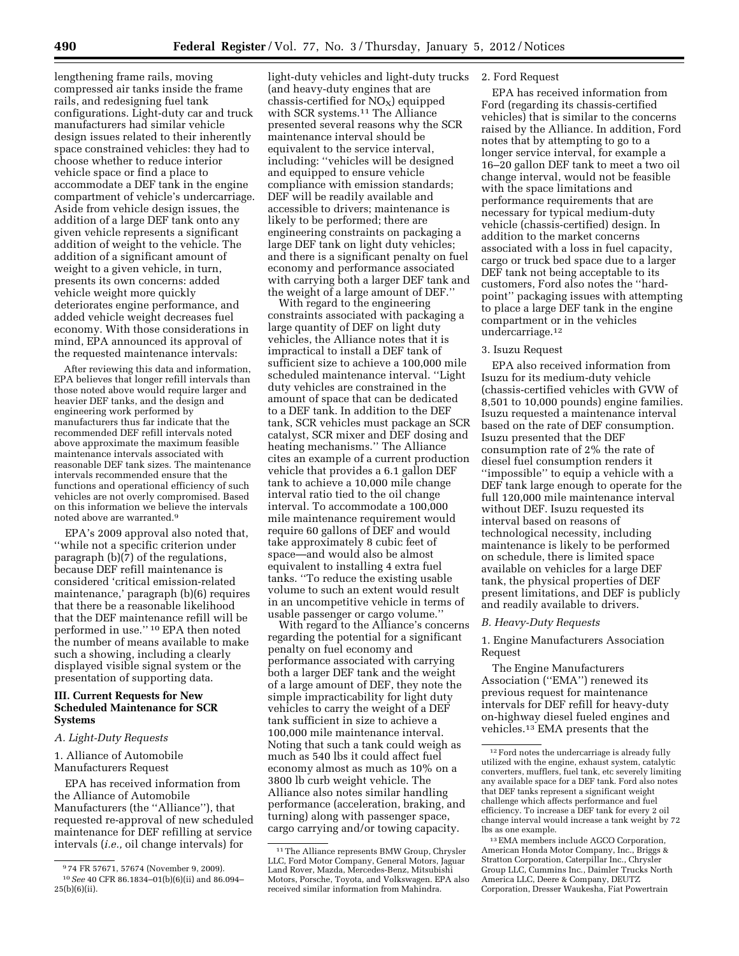lengthening frame rails, moving compressed air tanks inside the frame rails, and redesigning fuel tank configurations. Light-duty car and truck manufacturers had similar vehicle design issues related to their inherently space constrained vehicles: they had to choose whether to reduce interior vehicle space or find a place to accommodate a DEF tank in the engine compartment of vehicle's undercarriage. Aside from vehicle design issues, the addition of a large DEF tank onto any given vehicle represents a significant addition of weight to the vehicle. The addition of a significant amount of weight to a given vehicle, in turn, presents its own concerns: added vehicle weight more quickly deteriorates engine performance, and added vehicle weight decreases fuel economy. With those considerations in mind, EPA announced its approval of the requested maintenance intervals:

After reviewing this data and information, EPA believes that longer refill intervals than those noted above would require larger and heavier DEF tanks, and the design and engineering work performed by manufacturers thus far indicate that the recommended DEF refill intervals noted above approximate the maximum feasible maintenance intervals associated with reasonable DEF tank sizes. The maintenance intervals recommended ensure that the functions and operational efficiency of such vehicles are not overly compromised. Based on this information we believe the intervals noted above are warranted.9

EPA's 2009 approval also noted that, ''while not a specific criterion under paragraph (b)(7) of the regulations, because DEF refill maintenance is considered 'critical emission-related maintenance,' paragraph (b)(6) requires that there be a reasonable likelihood that the DEF maintenance refill will be performed in use.'' 10 EPA then noted the number of means available to make such a showing, including a clearly displayed visible signal system or the presentation of supporting data.

#### **III. Current Requests for New Scheduled Maintenance for SCR Systems**

#### *A. Light-Duty Requests*

1. Alliance of Automobile Manufacturers Request

EPA has received information from the Alliance of Automobile Manufacturers (the ''Alliance''), that requested re-approval of new scheduled maintenance for DEF refilling at service intervals (*i.e.,* oil change intervals) for

light-duty vehicles and light-duty trucks (and heavy-duty engines that are chassis-certified for  $NO<sub>X</sub>$ ) equipped with SCR systems.<sup>11</sup> The Alliance presented several reasons why the SCR maintenance interval should be equivalent to the service interval, including: ''vehicles will be designed and equipped to ensure vehicle compliance with emission standards; DEF will be readily available and accessible to drivers; maintenance is likely to be performed; there are engineering constraints on packaging a large DEF tank on light duty vehicles; and there is a significant penalty on fuel economy and performance associated with carrying both a larger DEF tank and the weight of a large amount of DEF.''

With regard to the engineering constraints associated with packaging a large quantity of DEF on light duty vehicles, the Alliance notes that it is impractical to install a DEF tank of sufficient size to achieve a 100,000 mile scheduled maintenance interval. ''Light duty vehicles are constrained in the amount of space that can be dedicated to a DEF tank. In addition to the DEF tank, SCR vehicles must package an SCR catalyst, SCR mixer and DEF dosing and heating mechanisms.'' The Alliance cites an example of a current production vehicle that provides a 6.1 gallon DEF tank to achieve a 10,000 mile change interval ratio tied to the oil change interval. To accommodate a 100,000 mile maintenance requirement would require 60 gallons of DEF and would take approximately 8 cubic feet of space—and would also be almost equivalent to installing 4 extra fuel tanks. ''To reduce the existing usable volume to such an extent would result in an uncompetitive vehicle in terms of usable passenger or cargo volume.''

With regard to the Alliance's concerns regarding the potential for a significant penalty on fuel economy and performance associated with carrying both a larger DEF tank and the weight of a large amount of DEF, they note the simple impracticability for light duty vehicles to carry the weight of a DEF tank sufficient in size to achieve a 100,000 mile maintenance interval. Noting that such a tank could weigh as much as 540 lbs it could affect fuel economy almost as much as 10% on a 3800 lb curb weight vehicle. The Alliance also notes similar handling performance (acceleration, braking, and turning) along with passenger space, cargo carrying and/or towing capacity.

### 2. Ford Request

EPA has received information from Ford (regarding its chassis-certified vehicles) that is similar to the concerns raised by the Alliance. In addition, Ford notes that by attempting to go to a longer service interval, for example a 16–20 gallon DEF tank to meet a two oil change interval, would not be feasible with the space limitations and performance requirements that are necessary for typical medium-duty vehicle (chassis-certified) design. In addition to the market concerns associated with a loss in fuel capacity, cargo or truck bed space due to a larger DEF tank not being acceptable to its customers, Ford also notes the ''hardpoint'' packaging issues with attempting to place a large DEF tank in the engine compartment or in the vehicles undercarriage.12

### 3. Isuzu Request

EPA also received information from Isuzu for its medium-duty vehicle (chassis-certified vehicles with GVW of 8,501 to 10,000 pounds) engine families. Isuzu requested a maintenance interval based on the rate of DEF consumption. Isuzu presented that the DEF consumption rate of 2% the rate of diesel fuel consumption renders it ''impossible'' to equip a vehicle with a DEF tank large enough to operate for the full 120,000 mile maintenance interval without DEF. Isuzu requested its interval based on reasons of technological necessity, including maintenance is likely to be performed on schedule, there is limited space available on vehicles for a large DEF tank, the physical properties of DEF present limitations, and DEF is publicly and readily available to drivers.

#### *B. Heavy-Duty Requests*

1. Engine Manufacturers Association Request

The Engine Manufacturers Association (''EMA'') renewed its previous request for maintenance intervals for DEF refill for heavy-duty on-highway diesel fueled engines and vehicles.13 EMA presents that the

<sup>9</sup> 74 FR 57671, 57674 (November 9, 2009). 10*See* 40 CFR 86.1834–01(b)(6)(ii) and 86.094– 25(b)(6)(ii).

<sup>11</sup>The Alliance represents BMW Group, Chrysler LLC, Ford Motor Company, General Motors, Jaguar Land Rover, Mazda, Mercedes-Benz, Mitsubishi Motors, Porsche, Toyota, and Volkswagen. EPA also received similar information from Mahindra.

<sup>12</sup>Ford notes the undercarriage is already fully utilized with the engine, exhaust system, catalytic converters, mufflers, fuel tank, etc severely limiting any available space for a DEF tank. Ford also notes that DEF tanks represent a significant weight challenge which affects performance and fuel efficiency. To increase a DEF tank for every 2 oil change interval would increase a tank weight by 72 lbs as one example.

<sup>13</sup>EMA members include AGCO Corporation, American Honda Motor Company, Inc., Briggs & Stratton Corporation, Caterpillar Inc., Chrysler Group LLC, Cummins Inc., Daimler Trucks North America LLC, Deere & Company, DEUTZ Corporation, Dresser Waukesha, Fiat Powertrain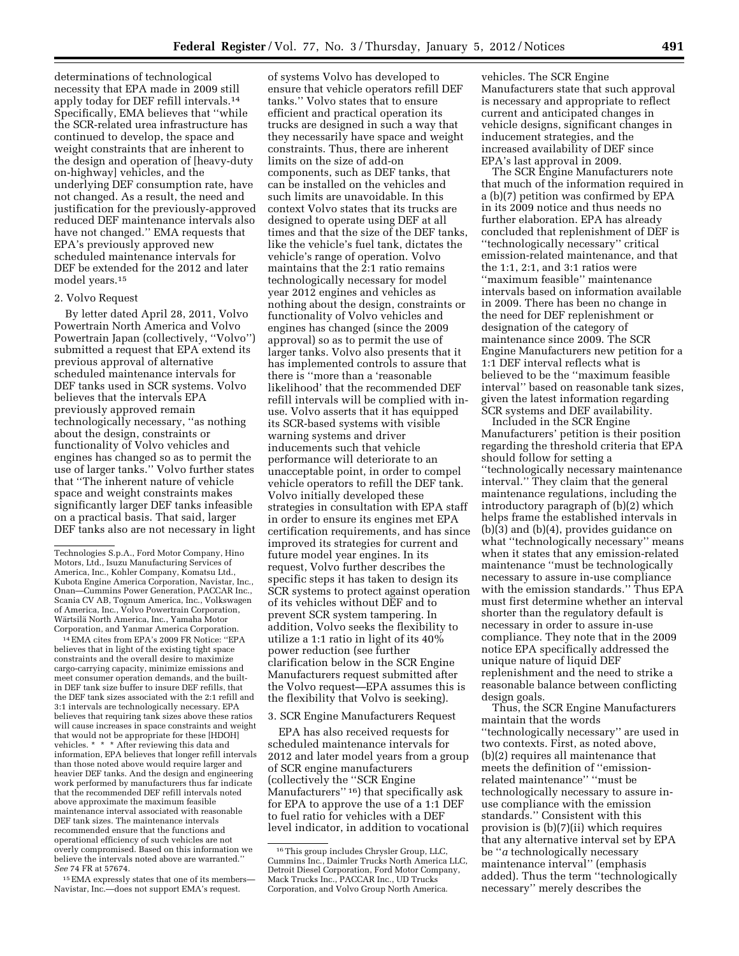determinations of technological necessity that EPA made in 2009 still apply today for DEF refill intervals.14 Specifically, EMA believes that ''while the SCR-related urea infrastructure has continued to develop, the space and weight constraints that are inherent to the design and operation of [heavy-duty on-highway] vehicles, and the underlying DEF consumption rate, have not changed. As a result, the need and justification for the previously-approved reduced DEF maintenance intervals also have not changed.'' EMA requests that EPA's previously approved new scheduled maintenance intervals for DEF be extended for the 2012 and later model years.15

#### 2. Volvo Request

By letter dated April 28, 2011, Volvo Powertrain North America and Volvo Powertrain Japan (collectively, ''Volvo'') submitted a request that EPA extend its previous approval of alternative scheduled maintenance intervals for DEF tanks used in SCR systems. Volvo believes that the intervals EPA previously approved remain technologically necessary, ''as nothing about the design, constraints or functionality of Volvo vehicles and engines has changed so as to permit the use of larger tanks.'' Volvo further states that ''The inherent nature of vehicle space and weight constraints makes significantly larger DEF tanks infeasible on a practical basis. That said, larger DEF tanks also are not necessary in light

14EMA cites from EPA's 2009 FR Notice: ''EPA believes that in light of the existing tight space constraints and the overall desire to maximize cargo-carrying capacity, minimize emissions and meet consumer operation demands, and the builtin DEF tank size buffer to insure DEF refills, that the DEF tank sizes associated with the 2:1 refill and 3:1 intervals are technologically necessary. EPA believes that requiring tank sizes above these ratios will cause increases in space constraints and weight that would not be appropriate for these [HDOH] vehicles. \* \* \* After reviewing this data and information, EPA believes that longer refill intervals than those noted above would require larger and heavier DEF tanks. And the design and engineering work performed by manufacturers thus far indicate that the recommended DEF refill intervals noted above approximate the maximum feasible maintenance interval associated with reasonable DEF tank sizes. The maintenance intervals recommended ensure that the functions and operational efficiency of such vehicles are not overly compromised. Based on this information we believe the intervals noted above are warranted.'' *See* 74 FR at 57674.

15EMA expressly states that one of its members— Navistar, Inc.—does not support EMA's request.

of systems Volvo has developed to ensure that vehicle operators refill DEF tanks.'' Volvo states that to ensure efficient and practical operation its trucks are designed in such a way that they necessarily have space and weight constraints. Thus, there are inherent limits on the size of add-on components, such as DEF tanks, that can be installed on the vehicles and such limits are unavoidable. In this context Volvo states that its trucks are designed to operate using DEF at all times and that the size of the DEF tanks, like the vehicle's fuel tank, dictates the vehicle's range of operation. Volvo maintains that the 2:1 ratio remains technologically necessary for model year 2012 engines and vehicles as nothing about the design, constraints or functionality of Volvo vehicles and engines has changed (since the 2009 approval) so as to permit the use of larger tanks. Volvo also presents that it has implemented controls to assure that there is ''more than a 'reasonable likelihood' that the recommended DEF refill intervals will be complied with inuse. Volvo asserts that it has equipped its SCR-based systems with visible warning systems and driver inducements such that vehicle performance will deteriorate to an unacceptable point, in order to compel vehicle operators to refill the DEF tank. Volvo initially developed these strategies in consultation with EPA staff in order to ensure its engines met EPA certification requirements, and has since improved its strategies for current and future model year engines. In its request, Volvo further describes the specific steps it has taken to design its SCR systems to protect against operation of its vehicles without DEF and to prevent SCR system tampering. In addition, Volvo seeks the flexibility to utilize a 1:1 ratio in light of its 40% power reduction (see further clarification below in the SCR Engine Manufacturers request submitted after the Volvo request—EPA assumes this is the flexibility that Volvo is seeking).

#### 3. SCR Engine Manufacturers Request

EPA has also received requests for scheduled maintenance intervals for 2012 and later model years from a group of SCR engine manufacturers (collectively the ''SCR Engine Manufacturers"<sup>16</sup>) that specifically ask for EPA to approve the use of a 1:1 DEF to fuel ratio for vehicles with a DEF level indicator, in addition to vocational vehicles. The SCR Engine Manufacturers state that such approval is necessary and appropriate to reflect current and anticipated changes in vehicle designs, significant changes in inducement strategies, and the increased availability of DEF since EPA's last approval in 2009.

The SCR Engine Manufacturers note that much of the information required in a (b)(7) petition was confirmed by EPA in its 2009 notice and thus needs no further elaboration. EPA has already concluded that replenishment of DEF is ''technologically necessary'' critical emission-related maintenance, and that the 1:1, 2:1, and 3:1 ratios were ''maximum feasible'' maintenance intervals based on information available in 2009. There has been no change in the need for DEF replenishment or designation of the category of maintenance since 2009. The SCR Engine Manufacturers new petition for a 1:1 DEF interval reflects what is believed to be the ''maximum feasible interval'' based on reasonable tank sizes, given the latest information regarding SCR systems and DEF availability.

Included in the SCR Engine Manufacturers' petition is their position regarding the threshold criteria that EPA should follow for setting a ''technologically necessary maintenance interval.'' They claim that the general maintenance regulations, including the introductory paragraph of (b)(2) which helps frame the established intervals in (b)(3) and (b)(4), provides guidance on what ''technologically necessary'' means when it states that any emission-related maintenance ''must be technologically necessary to assure in-use compliance with the emission standards.'' Thus EPA must first determine whether an interval shorter than the regulatory default is necessary in order to assure in-use compliance. They note that in the 2009 notice EPA specifically addressed the unique nature of liquid DEF replenishment and the need to strike a reasonable balance between conflicting design goals.

Thus, the SCR Engine Manufacturers maintain that the words ''technologically necessary'' are used in two contexts. First, as noted above, (b)(2) requires all maintenance that meets the definition of ''emissionrelated maintenance'' ''must be technologically necessary to assure inuse compliance with the emission standards.'' Consistent with this provision is (b)(7)(ii) which requires that any alternative interval set by EPA be ''*a* technologically necessary maintenance interval'' (emphasis added). Thus the term ''technologically necessary'' merely describes the

Technologies S.p.A., Ford Motor Company, Hino Motors, Ltd., Isuzu Manufacturing Services of America, Inc., Kohler Company, Komatsu Ltd., Kubota Engine America Corporation, Navistar, Inc., Onan—Cummins Power Generation, PACCAR Inc., Scania CV AB, Tognum America, Inc., Volkswagen of America, Inc., Volvo Powertrain Corporation, Wärtsilä North America, Inc., Yamaha Motor Corporation, and Yanmar America Corporation.

 $^{16}\rm{This}$  group includes Chrysler Group, LLC, Cummins Inc., Daimler Trucks North America LLC, Detroit Diesel Corporation, Ford Motor Company, Mack Trucks Inc., PACCAR Inc., UD Trucks Corporation, and Volvo Group North America.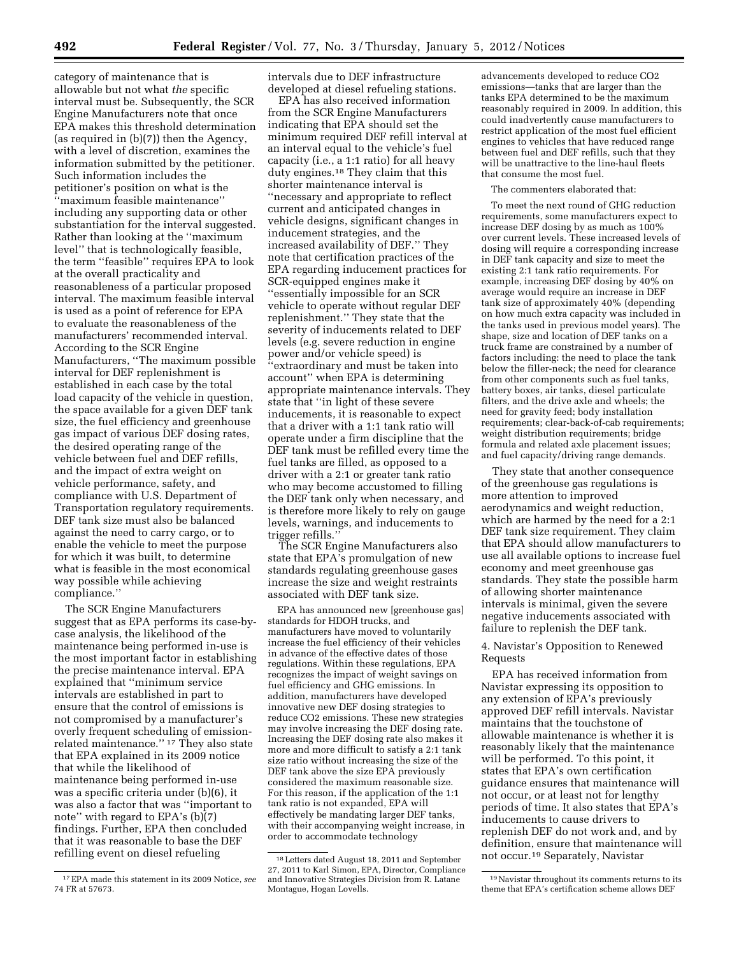category of maintenance that is allowable but not what *the* specific interval must be. Subsequently, the SCR Engine Manufacturers note that once EPA makes this threshold determination (as required in (b)(7)) then the Agency, with a level of discretion, examines the information submitted by the petitioner. Such information includes the petitioner's position on what is the ''maximum feasible maintenance'' including any supporting data or other substantiation for the interval suggested. Rather than looking at the ''maximum level'' that is technologically feasible, the term ''feasible'' requires EPA to look at the overall practicality and reasonableness of a particular proposed interval. The maximum feasible interval is used as a point of reference for EPA to evaluate the reasonableness of the manufacturers' recommended interval. According to the SCR Engine Manufacturers, ''The maximum possible interval for DEF replenishment is established in each case by the total load capacity of the vehicle in question, the space available for a given DEF tank size, the fuel efficiency and greenhouse gas impact of various DEF dosing rates, the desired operating range of the vehicle between fuel and DEF refills, and the impact of extra weight on vehicle performance, safety, and compliance with U.S. Department of Transportation regulatory requirements. DEF tank size must also be balanced against the need to carry cargo, or to enable the vehicle to meet the purpose for which it was built, to determine what is feasible in the most economical way possible while achieving compliance.''

The SCR Engine Manufacturers suggest that as EPA performs its case-bycase analysis, the likelihood of the maintenance being performed in-use is the most important factor in establishing the precise maintenance interval. EPA explained that ''minimum service intervals are established in part to ensure that the control of emissions is not compromised by a manufacturer's overly frequent scheduling of emissionrelated maintenance.'' 17 They also state that EPA explained in its 2009 notice that while the likelihood of maintenance being performed in-use was a specific criteria under (b)(6), it was also a factor that was ''important to note'' with regard to EPA's (b)(7) findings. Further, EPA then concluded that it was reasonable to base the DEF refilling event on diesel refueling

intervals due to DEF infrastructure developed at diesel refueling stations.

EPA has also received information from the SCR Engine Manufacturers indicating that EPA should set the minimum required DEF refill interval at an interval equal to the vehicle's fuel capacity (i.e., a 1:1 ratio) for all heavy duty engines.18 They claim that this shorter maintenance interval is ''necessary and appropriate to reflect current and anticipated changes in vehicle designs, significant changes in inducement strategies, and the increased availability of DEF.'' They note that certification practices of the EPA regarding inducement practices for SCR-equipped engines make it ''essentially impossible for an SCR vehicle to operate without regular DEF replenishment.'' They state that the severity of inducements related to DEF levels (e.g. severe reduction in engine power and/or vehicle speed) is ''extraordinary and must be taken into account'' when EPA is determining appropriate maintenance intervals. They state that ''in light of these severe inducements, it is reasonable to expect that a driver with a 1:1 tank ratio will operate under a firm discipline that the DEF tank must be refilled every time the fuel tanks are filled, as opposed to a driver with a 2:1 or greater tank ratio who may become accustomed to filling the DEF tank only when necessary, and is therefore more likely to rely on gauge levels, warnings, and inducements to trigger refills.''

The SCR Engine Manufacturers also state that EPA's promulgation of new standards regulating greenhouse gases increase the size and weight restraints associated with DEF tank size.

EPA has announced new [greenhouse gas] standards for HDOH trucks, and manufacturers have moved to voluntarily increase the fuel efficiency of their vehicles in advance of the effective dates of those regulations. Within these regulations, EPA recognizes the impact of weight savings on fuel efficiency and GHG emissions. In addition, manufacturers have developed innovative new DEF dosing strategies to reduce CO2 emissions. These new strategies may involve increasing the DEF dosing rate. Increasing the DEF dosing rate also makes it more and more difficult to satisfy a 2:1 tank size ratio without increasing the size of the DEF tank above the size EPA previously considered the maximum reasonable size. For this reason, if the application of the 1:1 tank ratio is not expanded, EPA will effectively be mandating larger DEF tanks, with their accompanying weight increase, in order to accommodate technology

advancements developed to reduce CO2 emissions—tanks that are larger than the tanks EPA determined to be the maximum reasonably required in 2009. In addition, this could inadvertently cause manufacturers to restrict application of the most fuel efficient engines to vehicles that have reduced range between fuel and DEF refills, such that they will be unattractive to the line-haul fleets that consume the most fuel.

#### The commenters elaborated that:

To meet the next round of GHG reduction requirements, some manufacturers expect to increase DEF dosing by as much as 100% over current levels. These increased levels of dosing will require a corresponding increase in DEF tank capacity and size to meet the existing 2:1 tank ratio requirements. For example, increasing DEF dosing by 40% on average would require an increase in DEF tank size of approximately 40% (depending on how much extra capacity was included in the tanks used in previous model years). The shape, size and location of DEF tanks on a truck frame are constrained by a number of factors including: the need to place the tank below the filler-neck; the need for clearance from other components such as fuel tanks, battery boxes, air tanks, diesel particulate filters, and the drive axle and wheels; the need for gravity feed; body installation requirements; clear-back-of-cab requirements; weight distribution requirements; bridge formula and related axle placement issues; and fuel capacity/driving range demands.

They state that another consequence of the greenhouse gas regulations is more attention to improved aerodynamics and weight reduction, which are harmed by the need for a 2:1 DEF tank size requirement. They claim that EPA should allow manufacturers to use all available options to increase fuel economy and meet greenhouse gas standards. They state the possible harm of allowing shorter maintenance intervals is minimal, given the severe negative inducements associated with failure to replenish the DEF tank.

### 4. Navistar's Opposition to Renewed Requests

EPA has received information from Navistar expressing its opposition to any extension of EPA's previously approved DEF refill intervals. Navistar maintains that the touchstone of allowable maintenance is whether it is reasonably likely that the maintenance will be performed. To this point, it states that EPA's own certification guidance ensures that maintenance will not occur, or at least not for lengthy periods of time. It also states that EPA's inducements to cause drivers to replenish DEF do not work and, and by definition, ensure that maintenance will not occur.19 Separately, Navistar

<sup>17</sup>EPA made this statement in its 2009 Notice, *see*  74 FR at 57673.

<sup>18</sup>Letters dated August 18, 2011 and September 27, 2011 to Karl Simon, EPA, Director, Compliance and Innovative Strategies Division from R. Latane Montague, Hogan Lovells.

<sup>19</sup>Navistar throughout its comments returns to its theme that EPA's certification scheme allows DEF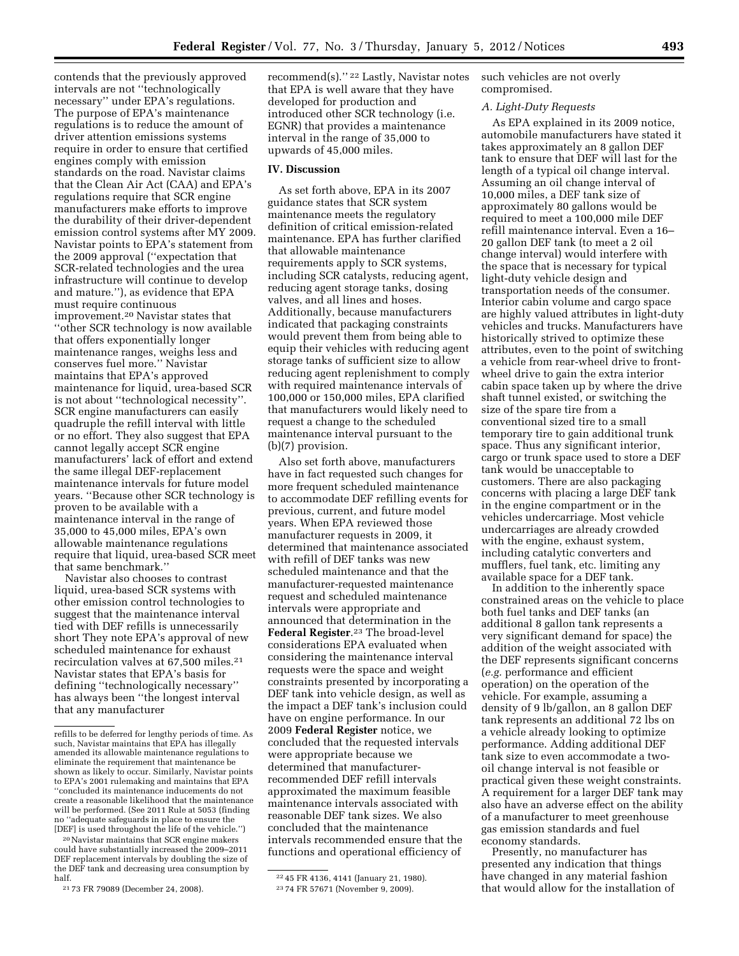contends that the previously approved intervals are not ''technologically necessary'' under EPA's regulations. The purpose of EPA's maintenance regulations is to reduce the amount of driver attention emissions systems require in order to ensure that certified engines comply with emission standards on the road. Navistar claims that the Clean Air Act (CAA) and EPA's regulations require that SCR engine manufacturers make efforts to improve the durability of their driver-dependent emission control systems after MY 2009. Navistar points to EPA's statement from the 2009 approval (''expectation that SCR-related technologies and the urea infrastructure will continue to develop and mature.''), as evidence that EPA must require continuous improvement.20 Navistar states that ''other SCR technology is now available that offers exponentially longer maintenance ranges, weighs less and conserves fuel more.'' Navistar maintains that EPA's approved maintenance for liquid, urea-based SCR is not about ''technological necessity''. SCR engine manufacturers can easily quadruple the refill interval with little or no effort. They also suggest that EPA cannot legally accept SCR engine manufacturers' lack of effort and extend the same illegal DEF-replacement maintenance intervals for future model years. ''Because other SCR technology is proven to be available with a maintenance interval in the range of 35,000 to 45,000 miles, EPA's own allowable maintenance regulations require that liquid, urea-based SCR meet that same benchmark.''

Navistar also chooses to contrast liquid, urea-based SCR systems with other emission control technologies to suggest that the maintenance interval tied with DEF refills is unnecessarily short They note EPA's approval of new scheduled maintenance for exhaust recirculation valves at 67,500 miles.21 Navistar states that EPA's basis for defining ''technologically necessary'' has always been ''the longest interval that any manufacturer

20Navistar maintains that SCR engine makers could have substantially increased the 2009–2011 DEF replacement intervals by doubling the size of the DEF tank and decreasing urea consumption by half.

21 73 FR 79089 (December 24, 2008).

recommend(s).'' 22 Lastly, Navistar notes that EPA is well aware that they have developed for production and introduced other SCR technology (i.e. EGNR) that provides a maintenance interval in the range of 35,000 to upwards of 45,000 miles.

### **IV. Discussion**

As set forth above, EPA in its 2007 guidance states that SCR system maintenance meets the regulatory definition of critical emission-related maintenance. EPA has further clarified that allowable maintenance requirements apply to SCR systems, including SCR catalysts, reducing agent, reducing agent storage tanks, dosing valves, and all lines and hoses. Additionally, because manufacturers indicated that packaging constraints would prevent them from being able to equip their vehicles with reducing agent storage tanks of sufficient size to allow reducing agent replenishment to comply with required maintenance intervals of 100,000 or 150,000 miles, EPA clarified that manufacturers would likely need to request a change to the scheduled maintenance interval pursuant to the (b)(7) provision.

Also set forth above, manufacturers have in fact requested such changes for more frequent scheduled maintenance to accommodate DEF refilling events for previous, current, and future model years. When EPA reviewed those manufacturer requests in 2009, it determined that maintenance associated with refill of DEF tanks was new scheduled maintenance and that the manufacturer-requested maintenance request and scheduled maintenance intervals were appropriate and announced that determination in the **Federal Register**.23 The broad-level considerations EPA evaluated when considering the maintenance interval requests were the space and weight constraints presented by incorporating a DEF tank into vehicle design, as well as the impact a DEF tank's inclusion could have on engine performance. In our 2009 **Federal Register** notice, we concluded that the requested intervals were appropriate because we determined that manufacturerrecommended DEF refill intervals approximated the maximum feasible maintenance intervals associated with reasonable DEF tank sizes. We also concluded that the maintenance intervals recommended ensure that the functions and operational efficiency of

22 45 FR 4136, 4141 (January 21, 1980). 23 74 FR 57671 (November 9, 2009).

such vehicles are not overly compromised.

#### *A. Light-Duty Requests*

As EPA explained in its 2009 notice, automobile manufacturers have stated it takes approximately an 8 gallon DEF tank to ensure that DEF will last for the length of a typical oil change interval. Assuming an oil change interval of 10,000 miles, a DEF tank size of approximately 80 gallons would be required to meet a 100,000 mile DEF refill maintenance interval. Even a 16– 20 gallon DEF tank (to meet a 2 oil change interval) would interfere with the space that is necessary for typical light-duty vehicle design and transportation needs of the consumer. Interior cabin volume and cargo space are highly valued attributes in light-duty vehicles and trucks. Manufacturers have historically strived to optimize these attributes, even to the point of switching a vehicle from rear-wheel drive to frontwheel drive to gain the extra interior cabin space taken up by where the drive shaft tunnel existed, or switching the size of the spare tire from a conventional sized tire to a small temporary tire to gain additional trunk space. Thus any significant interior, cargo or trunk space used to store a DEF tank would be unacceptable to customers. There are also packaging concerns with placing a large DEF tank in the engine compartment or in the vehicles undercarriage. Most vehicle undercarriages are already crowded with the engine, exhaust system, including catalytic converters and mufflers, fuel tank, etc. limiting any available space for a DEF tank.

In addition to the inherently space constrained areas on the vehicle to place both fuel tanks and DEF tanks (an additional 8 gallon tank represents a very significant demand for space) the addition of the weight associated with the DEF represents significant concerns (*e.g.* performance and efficient operation) on the operation of the vehicle. For example, assuming a density of 9 lb/gallon, an 8 gallon DEF tank represents an additional 72 lbs on a vehicle already looking to optimize performance. Adding additional DEF tank size to even accommodate a twooil change interval is not feasible or practical given these weight constraints. A requirement for a larger DEF tank may also have an adverse effect on the ability of a manufacturer to meet greenhouse gas emission standards and fuel economy standards.

Presently, no manufacturer has presented any indication that things have changed in any material fashion that would allow for the installation of

refills to be deferred for lengthy periods of time. As such, Navistar maintains that EPA has illegally amended its allowable maintenance regulations to eliminate the requirement that maintenance be shown as likely to occur. Similarly, Navistar points to EPA's 2001 rulemaking and maintains that EPA ''concluded its maintenance inducements do not create a reasonable likelihood that the maintenance will be performed. (See 2011 Rule at 5053 (finding no ''adequate safeguards in place to ensure the [DEF] is used throughout the life of the vehicle.'')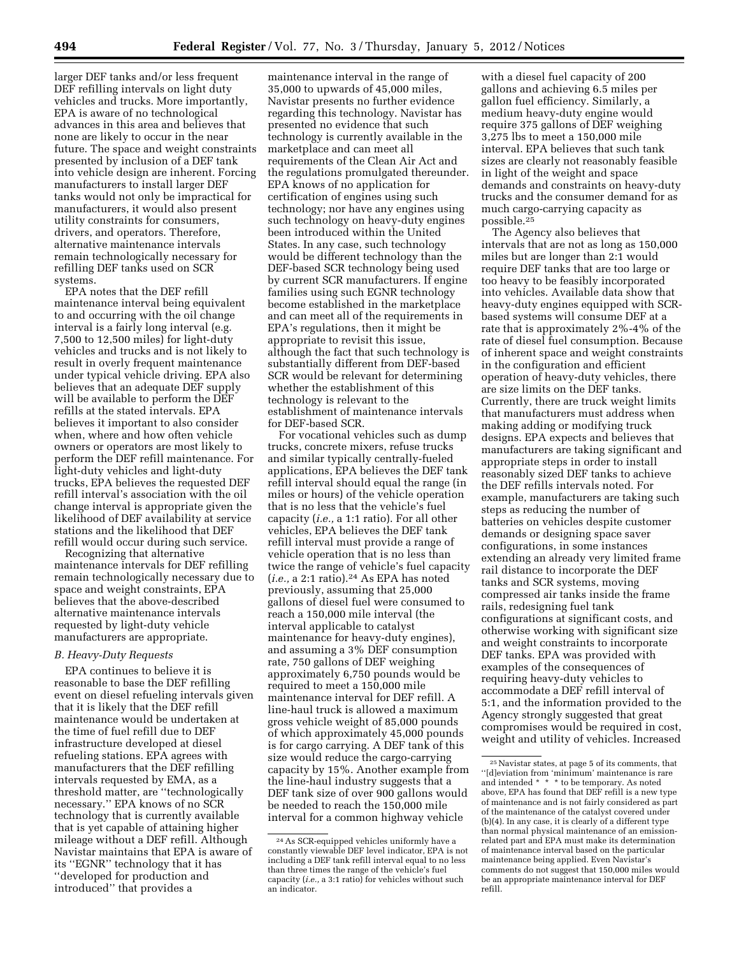larger DEF tanks and/or less frequent DEF refilling intervals on light duty vehicles and trucks. More importantly, EPA is aware of no technological advances in this area and believes that none are likely to occur in the near future. The space and weight constraints presented by inclusion of a DEF tank into vehicle design are inherent. Forcing manufacturers to install larger DEF tanks would not only be impractical for manufacturers, it would also present utility constraints for consumers, drivers, and operators. Therefore, alternative maintenance intervals remain technologically necessary for refilling DEF tanks used on SCR systems.

EPA notes that the DEF refill maintenance interval being equivalent to and occurring with the oil change interval is a fairly long interval (e.g. 7,500 to 12,500 miles) for light-duty vehicles and trucks and is not likely to result in overly frequent maintenance under typical vehicle driving. EPA also believes that an adequate DEF supply will be available to perform the DEF refills at the stated intervals. EPA believes it important to also consider when, where and how often vehicle owners or operators are most likely to perform the DEF refill maintenance. For light-duty vehicles and light-duty trucks, EPA believes the requested DEF refill interval's association with the oil change interval is appropriate given the likelihood of DEF availability at service stations and the likelihood that DEF refill would occur during such service.

Recognizing that alternative maintenance intervals for DEF refilling remain technologically necessary due to space and weight constraints, EPA believes that the above-described alternative maintenance intervals requested by light-duty vehicle manufacturers are appropriate.

### *B. Heavy-Duty Requests*

EPA continues to believe it is reasonable to base the DEF refilling event on diesel refueling intervals given that it is likely that the DEF refill maintenance would be undertaken at the time of fuel refill due to DEF infrastructure developed at diesel refueling stations. EPA agrees with manufacturers that the DEF refilling intervals requested by EMA, as a threshold matter, are ''technologically necessary.'' EPA knows of no SCR technology that is currently available that is yet capable of attaining higher mileage without a DEF refill. Although Navistar maintains that EPA is aware of its ''EGNR'' technology that it has ''developed for production and introduced'' that provides a

maintenance interval in the range of 35,000 to upwards of 45,000 miles, Navistar presents no further evidence regarding this technology. Navistar has presented no evidence that such technology is currently available in the marketplace and can meet all requirements of the Clean Air Act and the regulations promulgated thereunder. EPA knows of no application for certification of engines using such technology; nor have any engines using such technology on heavy-duty engines been introduced within the United States. In any case, such technology would be different technology than the DEF-based SCR technology being used by current SCR manufacturers. If engine families using such EGNR technology become established in the marketplace and can meet all of the requirements in EPA's regulations, then it might be appropriate to revisit this issue, although the fact that such technology is substantially different from DEF-based SCR would be relevant for determining whether the establishment of this technology is relevant to the establishment of maintenance intervals for DEF-based SCR.

For vocational vehicles such as dump trucks, concrete mixers, refuse trucks and similar typically centrally-fueled applications, EPA believes the DEF tank refill interval should equal the range (in miles or hours) of the vehicle operation that is no less that the vehicle's fuel capacity (*i.e.,* a 1:1 ratio). For all other vehicles, EPA believes the DEF tank refill interval must provide a range of vehicle operation that is no less than twice the range of vehicle's fuel capacity (*i.e.*, a 2:1 ratio).<sup>24</sup> As EPA has noted previously, assuming that 25,000 gallons of diesel fuel were consumed to reach a 150,000 mile interval (the interval applicable to catalyst maintenance for heavy-duty engines), and assuming a 3% DEF consumption rate, 750 gallons of DEF weighing approximately 6,750 pounds would be required to meet a 150,000 mile maintenance interval for DEF refill. A line-haul truck is allowed a maximum gross vehicle weight of 85,000 pounds of which approximately 45,000 pounds is for cargo carrying. A DEF tank of this size would reduce the cargo-carrying capacity by 15%. Another example from the line-haul industry suggests that a DEF tank size of over 900 gallons would be needed to reach the 150,000 mile interval for a common highway vehicle

with a diesel fuel capacity of 200 gallons and achieving 6.5 miles per gallon fuel efficiency. Similarly, a medium heavy-duty engine would require 375 gallons of DEF weighing 3,275 lbs to meet a 150,000 mile interval. EPA believes that such tank sizes are clearly not reasonably feasible in light of the weight and space demands and constraints on heavy-duty trucks and the consumer demand for as much cargo-carrying capacity as possible.25

The Agency also believes that intervals that are not as long as 150,000 miles but are longer than 2:1 would require DEF tanks that are too large or too heavy to be feasibly incorporated into vehicles. Available data show that heavy-duty engines equipped with SCRbased systems will consume DEF at a rate that is approximately 2%-4% of the rate of diesel fuel consumption. Because of inherent space and weight constraints in the configuration and efficient operation of heavy-duty vehicles, there are size limits on the DEF tanks. Currently, there are truck weight limits that manufacturers must address when making adding or modifying truck designs. EPA expects and believes that manufacturers are taking significant and appropriate steps in order to install reasonably sized DEF tanks to achieve the DEF refills intervals noted. For example, manufacturers are taking such steps as reducing the number of batteries on vehicles despite customer demands or designing space saver configurations, in some instances extending an already very limited frame rail distance to incorporate the DEF tanks and SCR systems, moving compressed air tanks inside the frame rails, redesigning fuel tank configurations at significant costs, and otherwise working with significant size and weight constraints to incorporate DEF tanks. EPA was provided with examples of the consequences of requiring heavy-duty vehicles to accommodate a DEF refill interval of 5:1, and the information provided to the Agency strongly suggested that great compromises would be required in cost, weight and utility of vehicles. Increased

<sup>24</sup>As SCR-equipped vehicles uniformly have a constantly viewable DEF level indicator, EPA is not including a DEF tank refill interval equal to no less than three times the range of the vehicle's fuel capacity (*i.e.,* a 3:1 ratio) for vehicles without such an indicator.

 $^{\rm 25}\!$  Navistar states, at page 5 of its comments, that ''[d]eviation from 'minimum' maintenance is rare and intended \* \* \* to be temporary. As noted above, EPA has found that DEF refill is a new type of maintenance and is not fairly considered as part of the maintenance of the catalyst covered under (b)(4). In any case, it is clearly of a different type than normal physical maintenance of an emissionrelated part and EPA must make its determination of maintenance interval based on the particular maintenance being applied. Even Navistar's comments do not suggest that 150,000 miles would be an appropriate maintenance interval for DEF refill.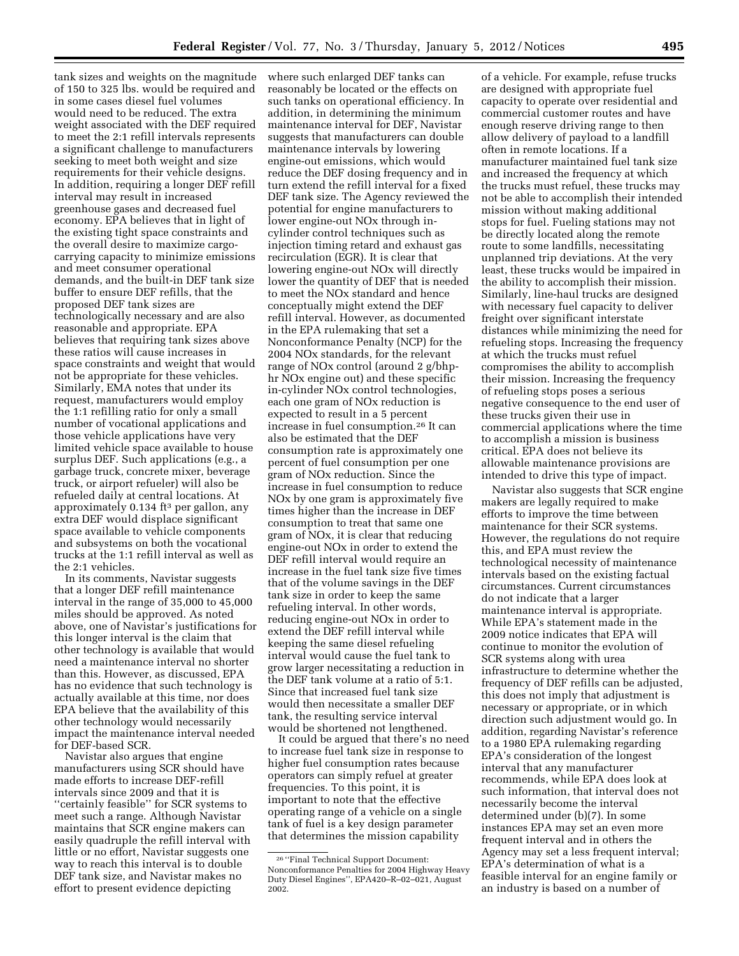tank sizes and weights on the magnitude of 150 to 325 lbs. would be required and in some cases diesel fuel volumes would need to be reduced. The extra weight associated with the DEF required to meet the 2:1 refill intervals represents a significant challenge to manufacturers seeking to meet both weight and size requirements for their vehicle designs. In addition, requiring a longer DEF refill interval may result in increased greenhouse gases and decreased fuel economy. EPA believes that in light of the existing tight space constraints and the overall desire to maximize cargocarrying capacity to minimize emissions and meet consumer operational demands, and the built-in DEF tank size buffer to ensure DEF refills, that the proposed DEF tank sizes are technologically necessary and are also reasonable and appropriate. EPA believes that requiring tank sizes above these ratios will cause increases in space constraints and weight that would not be appropriate for these vehicles. Similarly, EMA notes that under its request, manufacturers would employ the 1:1 refilling ratio for only a small number of vocational applications and those vehicle applications have very limited vehicle space available to house surplus DEF. Such applications (e.g., a garbage truck, concrete mixer, beverage truck, or airport refueler) will also be refueled daily at central locations. At approximately 0.134 ft3 per gallon, any extra DEF would displace significant space available to vehicle components and subsystems on both the vocational trucks at the 1:1 refill interval as well as the 2:1 vehicles.

In its comments, Navistar suggests that a longer DEF refill maintenance interval in the range of 35,000 to 45,000 miles should be approved. As noted above, one of Navistar's justifications for this longer interval is the claim that other technology is available that would need a maintenance interval no shorter than this. However, as discussed, EPA has no evidence that such technology is actually available at this time, nor does EPA believe that the availability of this other technology would necessarily impact the maintenance interval needed for DEF-based SCR.

Navistar also argues that engine manufacturers using SCR should have made efforts to increase DEF-refill intervals since 2009 and that it is ''certainly feasible'' for SCR systems to meet such a range. Although Navistar maintains that SCR engine makers can easily quadruple the refill interval with little or no effort, Navistar suggests one way to reach this interval is to double DEF tank size, and Navistar makes no effort to present evidence depicting

where such enlarged DEF tanks can reasonably be located or the effects on such tanks on operational efficiency. In addition, in determining the minimum maintenance interval for DEF, Navistar suggests that manufacturers can double maintenance intervals by lowering engine-out emissions, which would reduce the DEF dosing frequency and in turn extend the refill interval for a fixed DEF tank size. The Agency reviewed the potential for engine manufacturers to lower engine-out NOx through incylinder control techniques such as injection timing retard and exhaust gas recirculation (EGR). It is clear that lowering engine-out NOx will directly lower the quantity of DEF that is needed to meet the NOx standard and hence conceptually might extend the DEF refill interval. However, as documented in the EPA rulemaking that set a Nonconformance Penalty (NCP) for the 2004 NOx standards, for the relevant range of NOx control (around 2 g/bhphr NOx engine out) and these specific in-cylinder NOx control technologies, each one gram of NOx reduction is expected to result in a 5 percent increase in fuel consumption.26 It can also be estimated that the DEF consumption rate is approximately one percent of fuel consumption per one gram of NOx reduction. Since the increase in fuel consumption to reduce NOx by one gram is approximately five times higher than the increase in DEF consumption to treat that same one gram of NOx, it is clear that reducing engine-out NOx in order to extend the DEF refill interval would require an increase in the fuel tank size five times that of the volume savings in the DEF tank size in order to keep the same refueling interval. In other words, reducing engine-out NOx in order to extend the DEF refill interval while keeping the same diesel refueling interval would cause the fuel tank to grow larger necessitating a reduction in the DEF tank volume at a ratio of 5:1. Since that increased fuel tank size would then necessitate a smaller DEF tank, the resulting service interval would be shortened not lengthened.

It could be argued that there's no need to increase fuel tank size in response to higher fuel consumption rates because operators can simply refuel at greater frequencies. To this point, it is important to note that the effective operating range of a vehicle on a single tank of fuel is a key design parameter that determines the mission capability

of a vehicle. For example, refuse trucks are designed with appropriate fuel capacity to operate over residential and commercial customer routes and have enough reserve driving range to then allow delivery of payload to a landfill often in remote locations. If a manufacturer maintained fuel tank size and increased the frequency at which the trucks must refuel, these trucks may not be able to accomplish their intended mission without making additional stops for fuel. Fueling stations may not be directly located along the remote route to some landfills, necessitating unplanned trip deviations. At the very least, these trucks would be impaired in the ability to accomplish their mission. Similarly, line-haul trucks are designed with necessary fuel capacity to deliver freight over significant interstate distances while minimizing the need for refueling stops. Increasing the frequency at which the trucks must refuel compromises the ability to accomplish their mission. Increasing the frequency of refueling stops poses a serious negative consequence to the end user of these trucks given their use in commercial applications where the time to accomplish a mission is business critical. EPA does not believe its allowable maintenance provisions are intended to drive this type of impact.

Navistar also suggests that SCR engine makers are legally required to make efforts to improve the time between maintenance for their SCR systems. However, the regulations do not require this, and EPA must review the technological necessity of maintenance intervals based on the existing factual circumstances. Current circumstances do not indicate that a larger maintenance interval is appropriate. While EPA's statement made in the 2009 notice indicates that EPA will continue to monitor the evolution of SCR systems along with urea infrastructure to determine whether the frequency of DEF refills can be adjusted, this does not imply that adjustment is necessary or appropriate, or in which direction such adjustment would go. In addition, regarding Navistar's reference to a 1980 EPA rulemaking regarding EPA's consideration of the longest interval that any manufacturer recommends, while EPA does look at such information, that interval does not necessarily become the interval determined under (b)(7). In some instances EPA may set an even more frequent interval and in others the Agency may set a less frequent interval; EPA's determination of what is a feasible interval for an engine family or an industry is based on a number of

<sup>26</sup> ''Final Technical Support Document: Nonconformance Penalties for 2004 Highway Heavy Duty Diesel Engines'', EPA420–R–02–021, August 2002.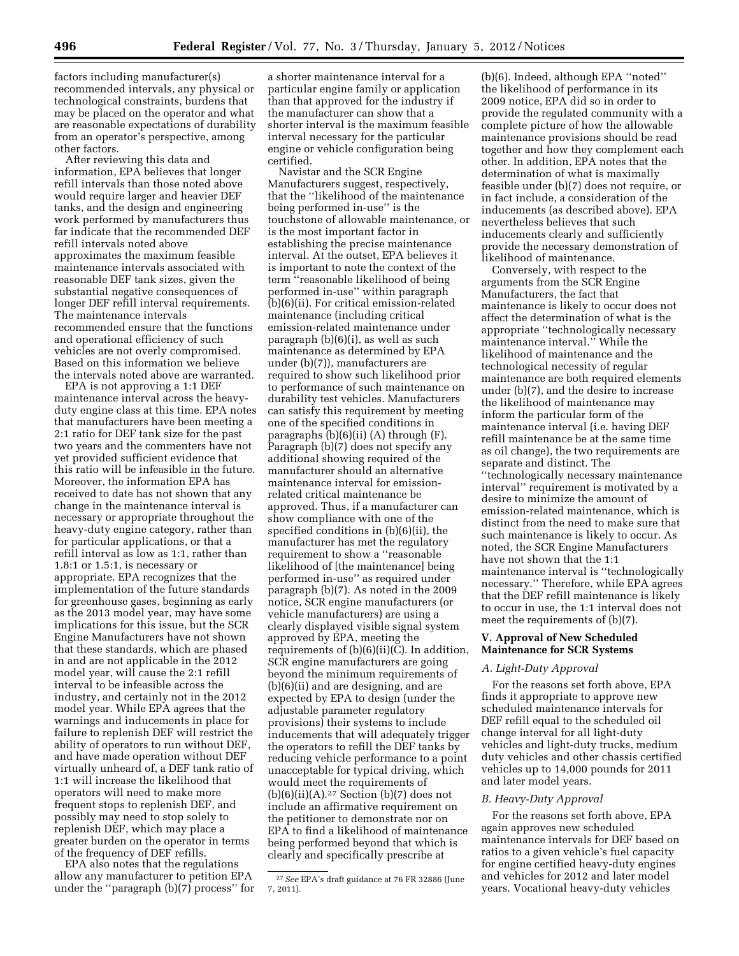factors including manufacturer(s) recommended intervals, any physical or technological constraints, burdens that may be placed on the operator and what are reasonable expectations of durability from an operator's perspective, among other factors.

After reviewing this data and information, EPA believes that longer refill intervals than those noted above would require larger and heavier DEF tanks, and the design and engineering work performed by manufacturers thus far indicate that the recommended DEF refill intervals noted above approximates the maximum feasible maintenance intervals associated with reasonable DEF tank sizes, given the substantial negative consequences of longer DEF refill interval requirements. The maintenance intervals recommended ensure that the functions and operational efficiency of such vehicles are not overly compromised. Based on this information we believe the intervals noted above are warranted.

EPA is not approving a 1:1 DEF maintenance interval across the heavyduty engine class at this time. EPA notes that manufacturers have been meeting a 2:1 ratio for DEF tank size for the past two years and the commenters have not yet provided sufficient evidence that this ratio will be infeasible in the future. Moreover, the information EPA has received to date has not shown that any change in the maintenance interval is necessary or appropriate throughout the heavy-duty engine category, rather than for particular applications, or that a refill interval as low as 1:1, rather than 1.8:1 or 1.5:1, is necessary or appropriate. EPA recognizes that the implementation of the future standards for greenhouse gases, beginning as early as the 2013 model year, may have some implications for this issue, but the SCR Engine Manufacturers have not shown that these standards, which are phased in and are not applicable in the 2012 model year, will cause the 2:1 refill interval to be infeasible across the industry, and certainly not in the 2012 model year. While EPA agrees that the warnings and inducements in place for failure to replenish DEF will restrict the ability of operators to run without DEF, and have made operation without DEF virtually unheard of, a DEF tank ratio of 1:1 will increase the likelihood that operators will need to make more frequent stops to replenish DEF, and possibly may need to stop solely to replenish DEF, which may place a greater burden on the operator in terms of the frequency of DEF refills.

EPA also notes that the regulations allow any manufacturer to petition EPA under the ''paragraph (b)(7) process'' for

a shorter maintenance interval for a particular engine family or application than that approved for the industry if the manufacturer can show that a shorter interval is the maximum feasible interval necessary for the particular engine or vehicle configuration being certified.

Navistar and the SCR Engine Manufacturers suggest, respectively, that the ''likelihood of the maintenance being performed in-use'' is the touchstone of allowable maintenance, or is the most important factor in establishing the precise maintenance interval. At the outset, EPA believes it is important to note the context of the term ''reasonable likelihood of being performed in-use'' within paragraph (b)(6)(ii). For critical emission-related maintenance (including critical emission-related maintenance under paragraph (b)(6)(i), as well as such maintenance as determined by EPA under (b)(7)), manufacturers are required to show such likelihood prior to performance of such maintenance on durability test vehicles. Manufacturers can satisfy this requirement by meeting one of the specified conditions in paragraphs  $(b)(6)(ii)$  (A) through  $(F)$ . Paragraph (b)(7) does not specify any additional showing required of the manufacturer should an alternative maintenance interval for emissionrelated critical maintenance be approved. Thus, if a manufacturer can show compliance with one of the specified conditions in (b)(6)(ii), the manufacturer has met the regulatory requirement to show a ''reasonable likelihood of [the maintenance] being performed in-use'' as required under paragraph (b)(7). As noted in the 2009 notice, SCR engine manufacturers (or vehicle manufacturers) are using a clearly displayed visible signal system approved by EPA, meeting the requirements of  $(b)(6)(ii)(\overline{C})$ . In addition, SCR engine manufacturers are going beyond the minimum requirements of (b)(6)(ii) and are designing, and are expected by EPA to design (under the adjustable parameter regulatory provisions) their systems to include inducements that will adequately trigger the operators to refill the DEF tanks by reducing vehicle performance to a point unacceptable for typical driving, which would meet the requirements of  $(b)(6)(ii)(A).<sup>27</sup> Section (b)(7) does not$ include an affirmative requirement on the petitioner to demonstrate nor on EPA to find a likelihood of maintenance being performed beyond that which is clearly and specifically prescribe at

(b)(6). Indeed, although EPA ''noted'' the likelihood of performance in its 2009 notice, EPA did so in order to provide the regulated community with a complete picture of how the allowable maintenance provisions should be read together and how they complement each other. In addition, EPA notes that the determination of what is maximally feasible under (b)(7) does not require, or in fact include, a consideration of the inducements (as described above). EPA nevertheless believes that such inducements clearly and sufficiently provide the necessary demonstration of likelihood of maintenance.

Conversely, with respect to the arguments from the SCR Engine Manufacturers, the fact that maintenance is likely to occur does not affect the determination of what is the appropriate ''technologically necessary maintenance interval." While the likelihood of maintenance and the technological necessity of regular maintenance are both required elements under (b)(7), and the desire to increase the likelihood of maintenance may inform the particular form of the maintenance interval (i.e. having DEF refill maintenance be at the same time as oil change), the two requirements are separate and distinct. The ''technologically necessary maintenance interval'' requirement is motivated by a desire to minimize the amount of emission-related maintenance, which is distinct from the need to make sure that such maintenance is likely to occur. As noted, the SCR Engine Manufacturers have not shown that the 1:1 maintenance interval is ''technologically necessary.'' Therefore, while EPA agrees that the DEF refill maintenance is likely to occur in use, the 1:1 interval does not meet the requirements of (b)(7).

### **V. Approval of New Scheduled Maintenance for SCR Systems**

### *A. Light-Duty Approval*

For the reasons set forth above, EPA finds it appropriate to approve new scheduled maintenance intervals for DEF refill equal to the scheduled oil change interval for all light-duty vehicles and light-duty trucks, medium duty vehicles and other chassis certified vehicles up to 14,000 pounds for 2011 and later model years.

### *B. Heavy-Duty Approval*

For the reasons set forth above, EPA again approves new scheduled maintenance intervals for DEF based on ratios to a given vehicle's fuel capacity for engine certified heavy-duty engines and vehicles for 2012 and later model years. Vocational heavy-duty vehicles

<sup>27</sup>*See* EPA's draft guidance at 76 FR 32886 (June 7, 2011).